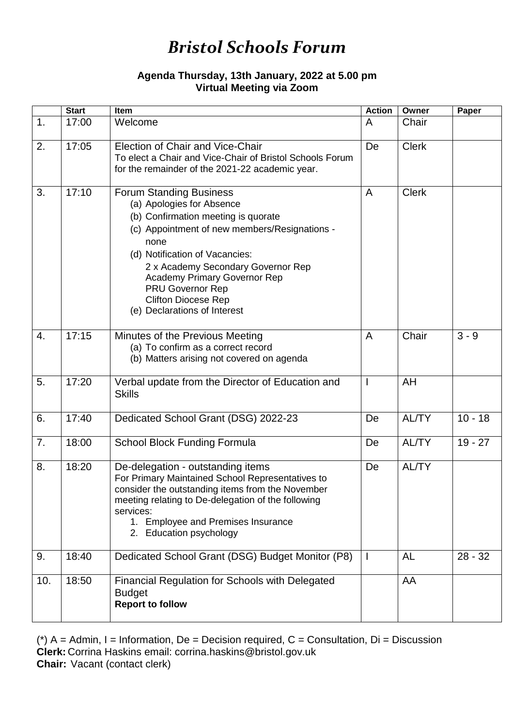## *Bristol Schools Forum*

## **Agenda Thursday, 13th January, 2022 at 5.00 pm Virtual Meeting via Zoom**

|     | <b>Start</b> | Item                                                                                                                                                                                                                                                                                                                                                                | <b>Action</b>            | Owner        | Paper     |
|-----|--------------|---------------------------------------------------------------------------------------------------------------------------------------------------------------------------------------------------------------------------------------------------------------------------------------------------------------------------------------------------------------------|--------------------------|--------------|-----------|
| 1.  | 17:00        | Welcome                                                                                                                                                                                                                                                                                                                                                             | A                        | Chair        |           |
| 2.  | 17:05        | Election of Chair and Vice-Chair<br>To elect a Chair and Vice-Chair of Bristol Schools Forum<br>for the remainder of the 2021-22 academic year.                                                                                                                                                                                                                     | De                       | <b>Clerk</b> |           |
| 3.  | 17:10        | <b>Forum Standing Business</b><br>(a) Apologies for Absence<br>(b) Confirmation meeting is quorate<br>(c) Appointment of new members/Resignations -<br>none<br>(d) Notification of Vacancies:<br>2 x Academy Secondary Governor Rep<br><b>Academy Primary Governor Rep</b><br><b>PRU Governor Rep</b><br><b>Clifton Diocese Rep</b><br>(e) Declarations of Interest | A                        | <b>Clerk</b> |           |
| 4.  | 17:15        | Minutes of the Previous Meeting<br>(a) To confirm as a correct record<br>(b) Matters arising not covered on agenda                                                                                                                                                                                                                                                  | A                        | Chair        | $3 - 9$   |
| 5.  | 17:20        | Verbal update from the Director of Education and<br><b>Skills</b>                                                                                                                                                                                                                                                                                                   | $\mathbf{I}$             | AH           |           |
| 6.  | 17:40        | Dedicated School Grant (DSG) 2022-23                                                                                                                                                                                                                                                                                                                                | De                       | <b>AL/TY</b> | $10 - 18$ |
| 7.  | 18:00        | <b>School Block Funding Formula</b>                                                                                                                                                                                                                                                                                                                                 | De                       | <b>AL/TY</b> | $19 - 27$ |
| 8.  | 18:20        | De-delegation - outstanding items<br>For Primary Maintained School Representatives to<br>consider the outstanding items from the November<br>meeting relating to De-delegation of the following<br>services:<br>1. Employee and Premises Insurance<br>2. Education psychology                                                                                       | De                       | <b>AL/TY</b> |           |
| 9.  | 18:40        | Dedicated School Grant (DSG) Budget Monitor (P8)                                                                                                                                                                                                                                                                                                                    | $\overline{\phantom{a}}$ | AL           | $28 - 32$ |
| 10. | 18:50        | <b>Financial Regulation for Schools with Delegated</b><br><b>Budget</b><br><b>Report to follow</b>                                                                                                                                                                                                                                                                  |                          | AA           |           |

( $*$ ) A = Admin, I = Information, De = Decision required, C = Consultation, Di = Discussion **Clerk:** Corrina Haskins email: corrina.haskins@bristol.gov.uk **Chair:** Vacant (contact clerk)